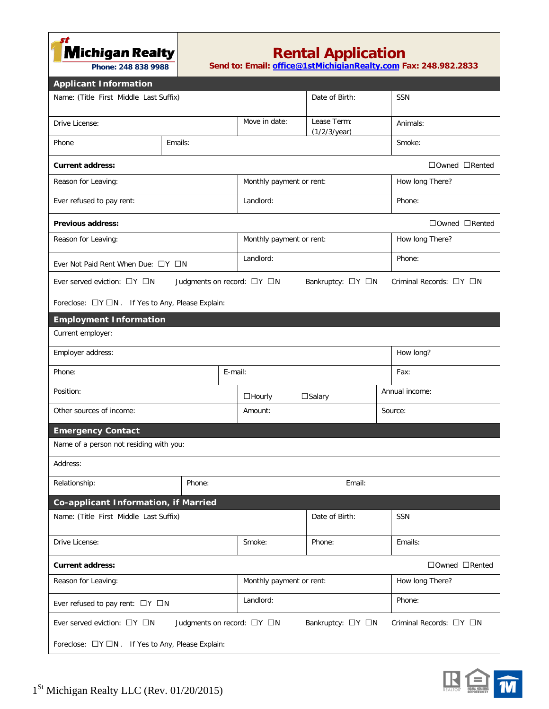**Michigan Realty** 

 **Phone: 248 838 9988**

## **Rental Application**

**Send to: Email: office@1[stMichigian](mailto:office@1stmichiganrealty.com)Realty.com Fax: 248.982.2833**

| <b>Applicant Information</b>                                                                                                    |           |                          |                                |                 |  |  |  |  |  |
|---------------------------------------------------------------------------------------------------------------------------------|-----------|--------------------------|--------------------------------|-----------------|--|--|--|--|--|
| Name: (Title First Middle Last Suffix)                                                                                          |           | Date of Birth:           | SSN                            |                 |  |  |  |  |  |
|                                                                                                                                 |           |                          |                                |                 |  |  |  |  |  |
| Drive License:                                                                                                                  |           | Move in date:            | Lease Term:<br>$(1/2/3$ /year) | Animals:        |  |  |  |  |  |
| Emails:<br>Phone                                                                                                                |           |                          |                                | Smoke:          |  |  |  |  |  |
| <b>Current address:</b>                                                                                                         |           |                          |                                | □Owned □Rented  |  |  |  |  |  |
| Reason for Leaving:                                                                                                             |           | Monthly payment or rent: |                                | How long There? |  |  |  |  |  |
| Ever refused to pay rent:                                                                                                       |           | Landlord:                |                                | Phone:          |  |  |  |  |  |
| □Owned □Rented<br><b>Previous address:</b>                                                                                      |           |                          |                                |                 |  |  |  |  |  |
| Reason for Leaving:                                                                                                             |           | Monthly payment or rent: |                                | How long There? |  |  |  |  |  |
| Ever Not Paid Rent When Due: □Y □N                                                                                              | Landlord: |                          | Phone:                         |                 |  |  |  |  |  |
| Ever served eviction: $\Box Y$ $\Box N$<br>Judgments on record: □Y □N<br>Bankruptcy: □Y □N<br>Criminal Records: $\Box Y \Box N$ |           |                          |                                |                 |  |  |  |  |  |
| Foreclose: □Y □N . If Yes to Any, Please Explain:                                                                               |           |                          |                                |                 |  |  |  |  |  |
| <b>Employment Information</b>                                                                                                   |           |                          |                                |                 |  |  |  |  |  |
| Current employer:                                                                                                               |           |                          |                                |                 |  |  |  |  |  |
| Employer address:                                                                                                               |           |                          | How long?                      |                 |  |  |  |  |  |
| E-mail:<br>Phone:                                                                                                               |           |                          |                                | Fax:            |  |  |  |  |  |
| Position:                                                                                                                       |           | $\Box$ Hourly            | $\square$ Salary               | Annual income:  |  |  |  |  |  |
| Other sources of income:                                                                                                        |           | Amount:                  |                                | Source:         |  |  |  |  |  |
| <b>Emergency Contact</b>                                                                                                        |           |                          |                                |                 |  |  |  |  |  |
| Name of a person not residing with you:                                                                                         |           |                          |                                |                 |  |  |  |  |  |
| Address:                                                                                                                        |           |                          |                                |                 |  |  |  |  |  |
| Relationship:                                                                                                                   | Phone:    |                          | Email:                         |                 |  |  |  |  |  |
| Co-applicant Information, if Married                                                                                            |           |                          |                                |                 |  |  |  |  |  |
| Name: (Title First Middle Last Suffix)                                                                                          |           |                          | Date of Birth:                 | SSN             |  |  |  |  |  |
| Drive License:                                                                                                                  |           | Smoke:                   | Phone:                         | Emails:         |  |  |  |  |  |
| $\Box$ Owned $\Box$ Rented<br><b>Current address:</b>                                                                           |           |                          |                                |                 |  |  |  |  |  |
| Reason for Leaving:                                                                                                             |           | Monthly payment or rent: |                                | How long There? |  |  |  |  |  |
| Ever refused to pay rent: $\Box Y \Box N$                                                                                       |           | Landlord:                |                                | Phone:          |  |  |  |  |  |
| Ever served eviction: $\Box Y$ $\Box N$<br>Judgments on record: □Y □N<br>Bankruptcy: □Y □N<br>Criminal Records: $\Box Y \Box N$ |           |                          |                                |                 |  |  |  |  |  |
| Foreclose: □Y □N . If Yes to Any, Please Explain:                                                                               |           |                          |                                |                 |  |  |  |  |  |